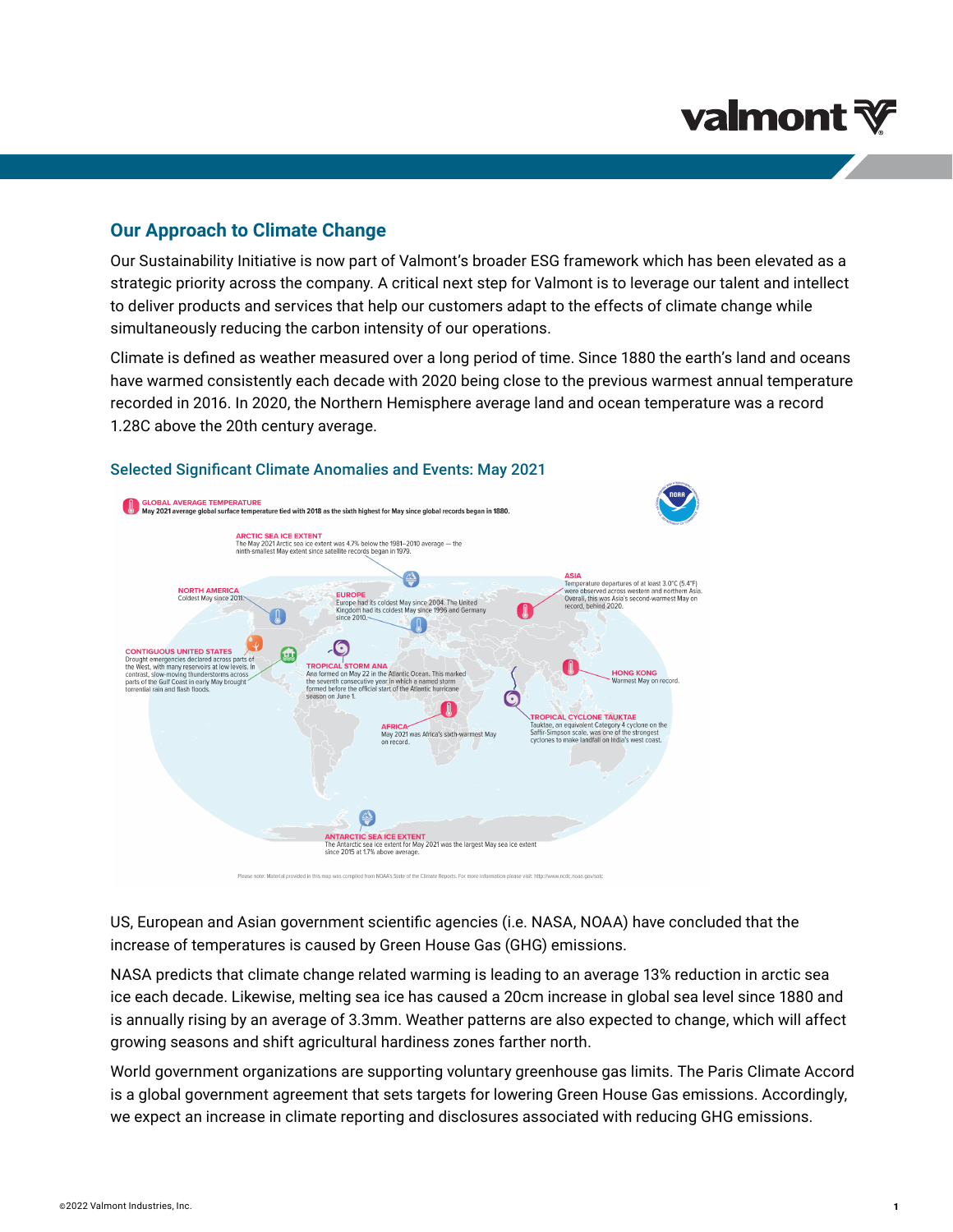# **valmont**

## **Our Approach to Climate Change**

Our Sustainability Initiative is now part of Valmont's broader ESG framework which has been elevated as a strategic priority across the company. A critical next step for Valmont is to leverage our talent and intellect to deliver products and services that help our customers adapt to the effects of climate change while simultaneously reducing the carbon intensity of our operations.

Climate is defined as weather measured over a long period of time. Since 1880 the earth's land and oceans have warmed consistently each decade with 2020 being close to the previous warmest annual temperature recorded in 2016. In 2020, the Northern Hemisphere average land and ocean temperature was a record 1.28C above the 20th century average.



#### Selected Significant Climate Anomalies and Events: May 2021

US, European and Asian government scientific agencies (i.e. NASA, NOAA) have concluded that the increase of temperatures is caused by Green House Gas (GHG) emissions.

NASA predicts that climate change related warming is leading to an average 13% reduction in arctic sea ice each decade. Likewise, melting sea ice has caused a 20cm increase in global sea level since 1880 and is annually rising by an average of 3.3mm. Weather patterns are also expected to change, which will affect growing seasons and shift agricultural hardiness zones farther north.

World government organizations are supporting voluntary greenhouse gas limits. The Paris Climate Accord is a global government agreement that sets targets for lowering Green House Gas emissions. Accordingly, we expect an increase in climate reporting and disclosures associated with reducing GHG emissions.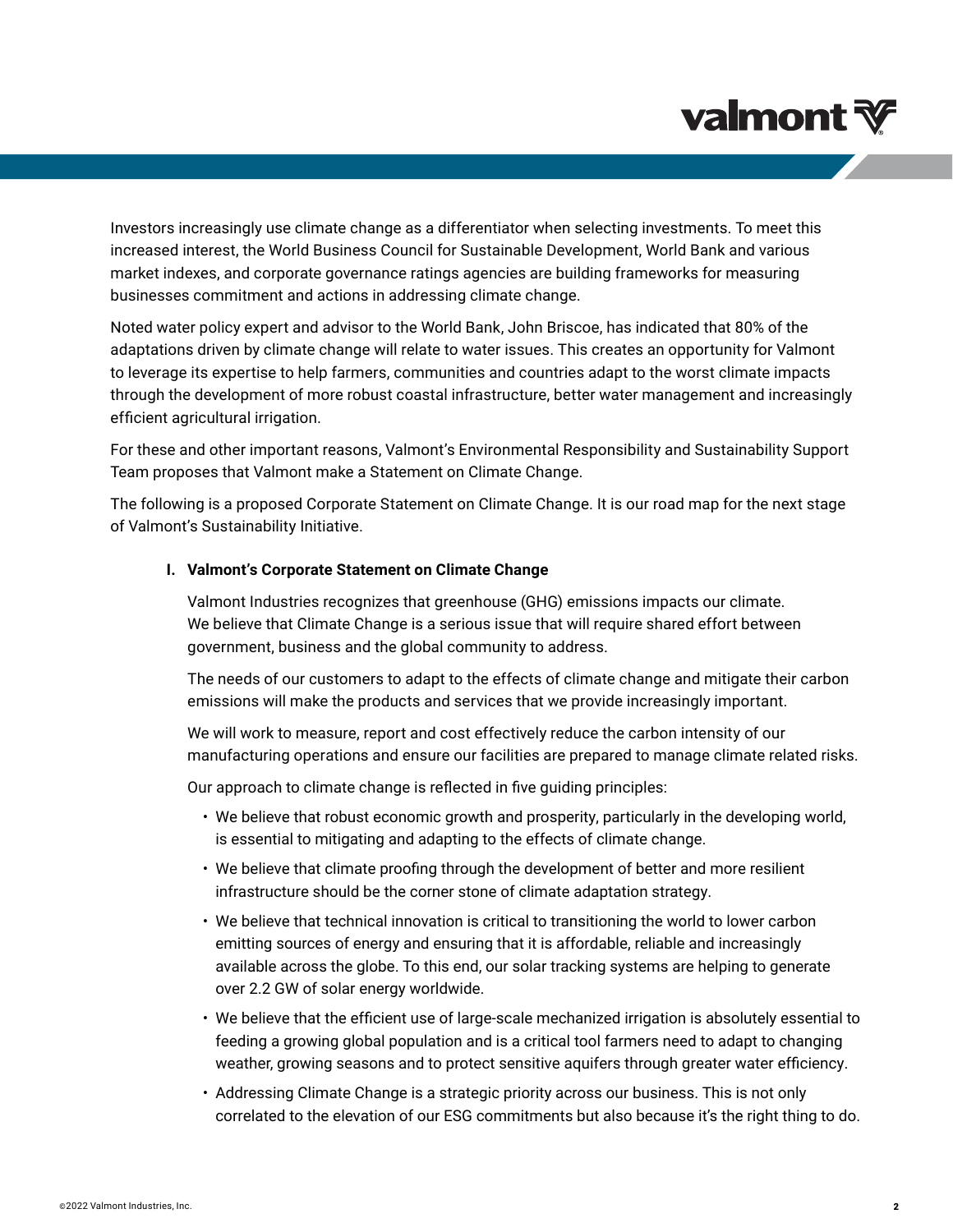# **valmont**

Investors increasingly use climate change as a differentiator when selecting investments. To meet this increased interest, the World Business Council for Sustainable Development, World Bank and various market indexes, and corporate governance ratings agencies are building frameworks for measuring businesses commitment and actions in addressing climate change.

Noted water policy expert and advisor to the World Bank, John Briscoe, has indicated that 80% of the adaptations driven by climate change will relate to water issues. This creates an opportunity for Valmont to leverage its expertise to help farmers, communities and countries adapt to the worst climate impacts through the development of more robust coastal infrastructure, better water management and increasingly efficient agricultural irrigation.

For these and other important reasons, Valmont's Environmental Responsibility and Sustainability Support Team proposes that Valmont make a Statement on Climate Change.

The following is a proposed Corporate Statement on Climate Change. It is our road map for the next stage of Valmont's Sustainability Initiative.

### **I. Valmont's Corporate Statement on Climate Change**

Valmont Industries recognizes that greenhouse (GHG) emissions impacts our climate. We believe that Climate Change is a serious issue that will require shared effort between government, business and the global community to address.

The needs of our customers to adapt to the effects of climate change and mitigate their carbon emissions will make the products and services that we provide increasingly important.

We will work to measure, report and cost effectively reduce the carbon intensity of our manufacturing operations and ensure our facilities are prepared to manage climate related risks.

Our approach to climate change is reflected in five guiding principles:

- We believe that robust economic growth and prosperity, particularly in the developing world, is essential to mitigating and adapting to the effects of climate change.
- We believe that climate proofing through the development of better and more resilient infrastructure should be the corner stone of climate adaptation strategy.
- We believe that technical innovation is critical to transitioning the world to lower carbon emitting sources of energy and ensuring that it is affordable, reliable and increasingly available across the globe. To this end, our solar tracking systems are helping to generate over 2.2 GW of solar energy worldwide.
- We believe that the efficient use of large-scale mechanized irrigation is absolutely essential to feeding a growing global population and is a critical tool farmers need to adapt to changing weather, growing seasons and to protect sensitive aquifers through greater water efficiency.
- Addressing Climate Change is a strategic priority across our business. This is not only correlated to the elevation of our ESG commitments but also because it's the right thing to do.